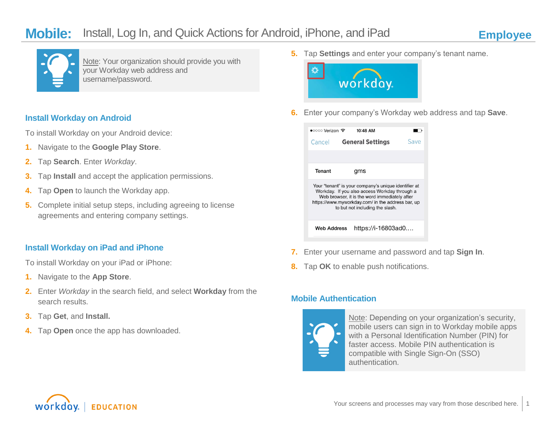

Note: Your organization should provide you with your Workday web address and username/password.

#### **Install Workday on Android**

To install Workday on your Android device:

- **1.** Navigate to the **Google Play Store**.
- **2.** Tap **Search**. Enter *Workday*.
- **3.** Tap **Install** and accept the application permissions.
- **4.** Tap **Open** to launch the Workday app.
- **5.** Complete initial setup steps, including agreeing to license agreements and entering company settings.

### **Install Workday on iPad and iPhone**

To install Workday on your iPad or iPhone:

- **1.** Navigate to the **App Store**.
- **2.** Enter *Workday* in the search field, and select **Workday** from the search results.
- **3.** Tap **Get**, and **Install.**
- **4.** Tap **Open** once the app has downloaded.

**5.** Tap **Settings** and enter your company's tenant name.



**6.** Enter your company's Workday web address and tap **Save**.



- **7.** Enter your username and password and tap **Sign In**.
- **8.** Tap **OK** to enable push notifications.

## **Mobile Authentication**



Note: Depending on your organization's security, mobile users can sign in to Workday mobile apps with a Personal Identification Number (PIN) for faster access. Mobile PIN authentication is compatible with Single Sign-On (SSO) authentication.

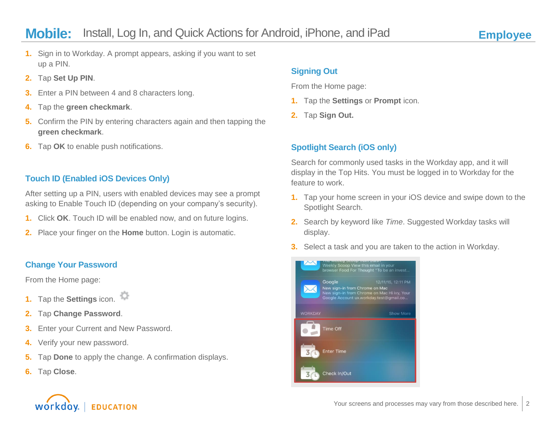- **1.** Sign in to Workday. A prompt appears, asking if you want to set up a PIN.
- **2.** Tap **Set Up PIN**.
- **3.** Enter a PIN between 4 and 8 characters long.
- **4.** Tap the **green checkmark**.
- **5.** Confirm the PIN by entering characters again and then tapping the **green checkmark**.
- **6.** Tap **OK** to enable push notifications.

# **Touch ID (Enabled iOS Devices Only)**

After setting up a PIN, users with enabled devices may see a prompt asking to Enable Touch ID (depending on your company's security).

- **1.** Click **OK**. Touch ID will be enabled now, and on future logins.
- **2.** Place your finger on the **Home** button. Login is automatic.

# **Change Your Password**

From the Home page:

- **1.** Tap the **Settings** icon.
- **2.** Tap **Change Password**.
- **3.** Enter your Current and New Password.
- **4.** Verify your new password.
- **5.** Tap **Done** to apply the change. A confirmation displays.
- **6.** Tap **Close**.

# **Signing Out**

From the Home page:

- **1.** Tap the **Settings** or **Prompt** icon.
- **2.** Tap **Sign Out.**

# **Spotlight Search (iOS only)**

Search for commonly used tasks in the Workday app, and it will display in the Top Hits. You must be logged in to Workday for the feature to work.

- **1.** Tap your home screen in your iOS device and swipe down to the Spotlight Search.
- **2.** Search by keyword like *Time*. Suggested Workday tasks will display.
- **3.** Select a task and you are taken to the action in Workday.